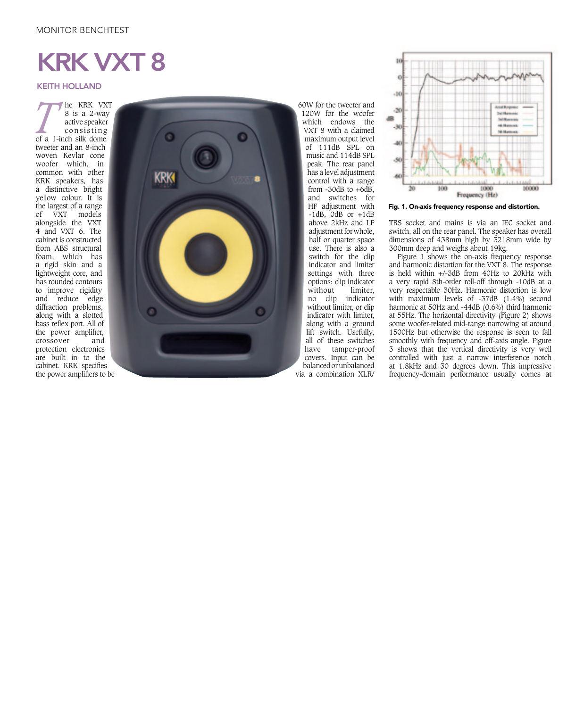## MONITOR BENCHTEST

## KRK VXT 8

## KEITH HOLLAND

**T** he KRK VXT<br>
<sup>8</sup> is a 2-way<br>
active speaker<br>
consisting<br>
of a 1-inch silk dome 8 is a 2-way active speaker consisting tweeter and an 8-inch woven Kevlar cone woofer which, in common with other KRK speakers, has a distinctive bright yellow colour. It is the largest of a range of VXT models alongside the VXT 4 and VXT 6. The cabinet is constructed from ABS structural foam, which has a rigid skin and a lightweight core, and has rounded contours to improve rigidity and reduce edge diffraction problems, along with a slotted bass reflex port. All of the power amplifier, crossover and protection electronics are built in to the the power amplifiers to be



60W for the tweeter and 120W for the woofer which endows the VXT 8 with a claimed maximum output level of  $111dB$  SPL on music and 114dB SPL peak. The rear panel has a level adjustment control with a range from  $-30$ dB to  $+6$ dB. and switches for HF adjustment with  $-1$ dB,  $0$ dB or  $+1$ dB above 2kHz and LF adjustment for whole. half or quarter space use. There is also a switch for the clip indicator and limiter settings with three options: clip indicator  $\hat{\text{with}}$ no clip indicator without limiter, or clip indicator with limiter, along with a ground lift switch. Usefully, all of these switches have tamper-proof covers. Input can be balanced or unbalanced via a combination XLR/



Fig. 1. On-axis frequency response and distortion.

TRS socket and mains is via an IEC socket and switch, all on the rear panel. The speaker has overall dimensions of 438mm high by 3218mm wide by 300mm deep and weighs about 19kg.

Figure 1 shows the on-axis frequency response and harmonic distortion for the VXT 8. The response is held within +/-3dB from 40Hz to 20kHz with a very rapid 8th-order roll-off through -10dB at a very respectable 30Hz. Harmonic distortion is low with maximum levels of -37dB (1.4%) second harmonic at 50Hz and -44dB (0.6%) third harmonic at 55Hz. The horizontal directivity (Figure 2) shows some woofer-related mid-range narrowing at around 1500Hz but otherwise the response is seen to fall smoothly with frequency and off-axis angle. Figure 3 shows that the vertical directivity is very well controlled with just a narrow interference notch at 1.8kHz and 30 degrees down. This impressive frequency-domain performance usually comes at